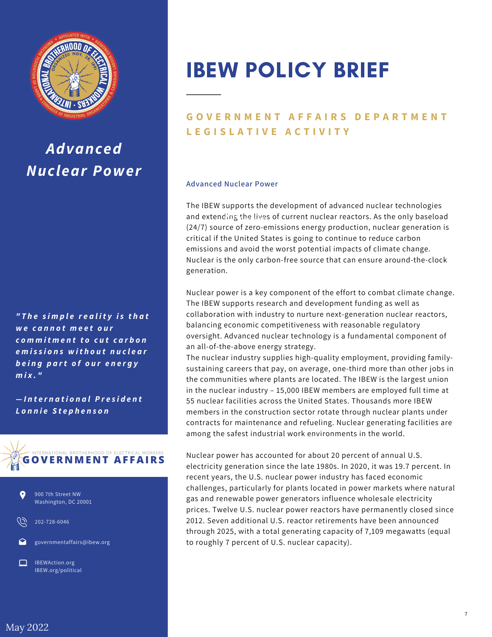

## *Advanced Nuclear Power*

*" T h e s i m p l e r e a li t y i s t h a t w e c a n n o t m e e t o u r c o m m i t m e n t t o c u t c a r b o n e m i s s i o n s w i t h o u t n u c l e a r b e in g p a rt o f o u r e n e r g y m i x . "*

*— I n t e r n a t i o n a l P r e s i d e n t L o n n i e S t e p h e n s o n*





202-728-6046



IBEWAction.org IBEW.org/political

# IBEW POLICY BRIEF

### **GOVERNMENT AFFAIRS DEPARTMENT L E G I S L A T I V E A C T I V I T Y**

#### **Advanced Nuclear Power**

The IBEW supports the development of advanced nuclear technologies and extending the lives of current nuclear reactors. As the only baseload (24/7) source of zero-emissions energy production, nuclear generation is critical if the United States is going to continue to reduce carbon emissions and avoid the worst potential impacts of climate change. Nuclear is the only carbon-free source that can ensure around-the-clock generation.

Nuclear power is a key component of the effort to combat climate change. The IBEW supports research and development funding as well as collaboration with industry to nurture next-generation nuclear reactors, balancing economic competitiveness with reasonable regulatory oversight. Advanced nuclear technology is a fundamental component of an all-of-the-above energy strategy.

The nuclear industry supplies high-quality employment, providing familysustaining careers that pay, on average, one-third more than other jobs in the communities where plants are located. The IBEW is the largest union in the nuclear industry – 15,000 IBEW members are employed full time at 55 nuclear facilities across the United States. Thousands more IBEW members in the construction sector rotate through nuclear plants under contracts for maintenance and refueling. Nuclear generating facilities are among the safest industrial work environments in the world.

Nuclear power has accounted for about 20 percent of annual U.S. electricity generation since the late 1980s. In 2020, it was 19.7 percent. In recent years, the U.S. nuclear power industry has faced economic challenges, particularly for plants located in power markets where natural gas and renewable power generators influence wholesale electricity prices. Twelve U.S. nuclear power reactors have permanently closed since 2012. Seven additional U.S. reactor retirements have been announced through 2025, with a total generating capacity of 7,109 megawatts (equal to roughly 7 percent of U.S. nuclear capacity).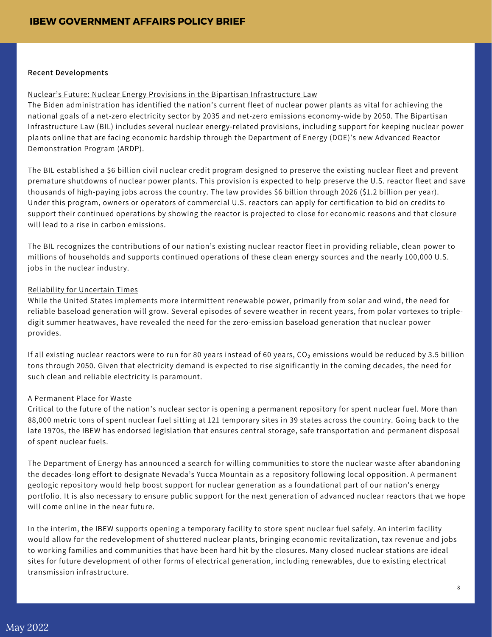#### **Recent Developments**

#### Nuclear's Future: Nuclear Energy Provisions in the Bipartisan Infrastructure Law

The Biden administration has identified the nation's current fleet of nuclear power plants as vital for achieving the national goals of a net-zero electricity sector by 2035 and net-zero emissions economy-wide by 2050. The Bipartisan Infrastructure Law (BIL) includes several nuclear energy-related provisions, including support for keeping nuclear power plants online that are facing economic hardship through the Department of Energy (DOE)'s new Advanced Reactor Demonstration Program (ARDP).

The BIL established a \$6 billion civil nuclear credit program designed to preserve the existing nuclear fleet and prevent premature shutdowns of nuclear power plants. This provision is expected to help preserve the U.S. reactor fleet and save thousands of high-paying jobs across the country. The law provides \$6 billion through 2026 (\$1.2 billion per year). Under this program, owners or operators of commercial U.S. reactors can apply for certification to bid on credits to support their continued operations by showing the reactor is projected to close for economic reasons and that closure will lead to a rise in carbon emissions.

The BIL recognizes the contributions of our nation's existing nuclear reactor fleet in providing reliable, clean power to millions of households and supports continued operations of these clean energy sources and the nearly 100,000 U.S. jobs in the nuclear industry.

#### Reliability for Uncertain Times

While the United States implements more intermittent renewable power, primarily from solar and wind, the need for reliable baseload generation will grow. Several episodes of severe weather in recent years, from polar vortexes to tripledigit summer heatwaves, have revealed the need for the zero-emission baseload generation that nuclear power provides.

If all existing nuclear reactors were to run for 80 years instead of 60 years, CO<sub>2</sub> emissions would be reduced by 3.5 billion tons through 2050. Given that electricity demand is expected to rise significantly in the coming decades, the need for such clean and reliable electricity is paramount.

#### A Permanent Place for Waste

Critical to the future of the nation's nuclear sector is opening a permanent repository for spent nuclear fuel. More than 88,000 metric tons of spent nuclear fuel sitting at 121 temporary sites in 39 states across the country. Going back to the late 1970s, the IBEW has endorsed legislation that ensures central storage, safe transportation and permanent disposal of spent nuclear fuels.

The Department of Energy has announced a search for willing communities to store the nuclear waste after abandoning the decades-long effort to designate Nevada's Yucca Mountain as a repository following local opposition. A permanent geologic repository would help boost support for nuclear generation as a foundational part of our nation's energy portfolio. It is also necessary to ensure public support for the next generation of advanced nuclear reactors that we hope will come online in the near future.

In the interim, the IBEW supports opening a temporary facility to store spent nuclear fuel safely. An interim facility would allow for the redevelopment of shuttered nuclear plants, bringing economic revitalization, tax revenue and jobs to working families and communities that have been hard hit by the closures. Many closed nuclear stations are ideal sites for future development of other forms of electrical generation, including renewables, due to existing electrical transmission infrastructure.